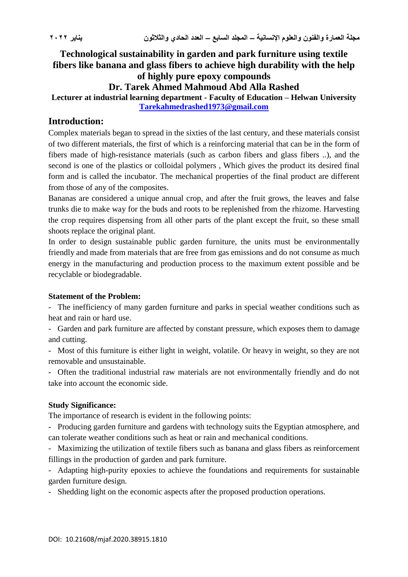**Technological sustainability in garden and park furniture using textile fibers like banana and glass fibers to achieve high durability with the help of highly pure epoxy compounds**

# **Dr. Tarek Ahmed Mahmoud Abd Alla Rashed**

**Lecturer at industrial learning department - Faculty of Education – Helwan University [Tarekahmedrashed1973@gmail.com](mailto:Tarekahmedrashed1973@gmail.com)**

# **Introduction:**

Complex materials began to spread in the sixties of the last century, and these materials consist of two different materials, the first of which is a reinforcing material that can be in the form of fibers made of high-resistance materials (such as carbon fibers and glass fibers ..), and the second is one of the plastics or colloidal polymers , Which gives the product its desired final form and is called the incubator. The mechanical properties of the final product are different from those of any of the composites.

Bananas are considered a unique annual crop, and after the fruit grows, the leaves and false trunks die to make way for the buds and roots to be replenished from the rhizome. Harvesting the crop requires dispensing from all other parts of the plant except the fruit, so these small shoots replace the original plant.

In order to design sustainable public garden furniture, the units must be environmentally friendly and made from materials that are free from gas emissions and do not consume as much energy in the manufacturing and production process to the maximum extent possible and be recyclable or biodegradable.

### **Statement of the Problem:**

- The inefficiency of many garden furniture and parks in special weather conditions such as heat and rain or hard use.

- Garden and park furniture are affected by constant pressure, which exposes them to damage and cutting.

- Most of this furniture is either light in weight, volatile. Or heavy in weight, so they are not removable and unsustainable.

- Often the traditional industrial raw materials are not environmentally friendly and do not take into account the economic side.

### **Study Significance:**

The importance of research is evident in the following points:

- Producing garden furniture and gardens with technology suits the Egyptian atmosphere, and can tolerate weather conditions such as heat or rain and mechanical conditions.

- Maximizing the utilization of textile fibers such as banana and glass fibers as reinforcement fillings in the production of garden and park furniture.

- Adapting high-purity epoxies to achieve the foundations and requirements for sustainable garden furniture design.

- Shedding light on the economic aspects after the proposed production operations.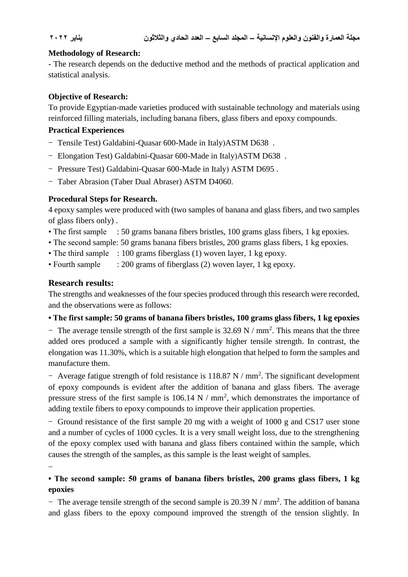## **Methodology of Research:**

- The research depends on the deductive method and the methods of practical application and statistical analysis.

# **Objective of Research:**

To provide Egyptian-made varieties produced with sustainable technology and materials using reinforced filling materials, including banana fibers, glass fibers and epoxy compounds.

## **Practical Experiences**

- Tensile Test) Galdabini-Quasar 600-Made in Italy) ASTM D638.
- Elongation Test) Galdabini-Quasar 600-Made in Italy)ASTM D638.
- Pressure Test) Galdabini-Quasar 600-Made in Italy) ASTM D695.
- Taber Abrasion (Taber Dual Abraser) ASTM D4060.

# **Procedural Steps for Research.**

4 epoxy samples were produced with (two samples of banana and glass fibers, and two samples of glass fibers only) .

- The first sample : 50 grams banana fibers bristles, 100 grams glass fibers, 1 kg epoxies.
- The second sample: 50 grams banana fibers bristles, 200 grams glass fibers, 1 kg epoxies.
- The third sample : 100 grams fiberglass (1) woven layer, 1 kg epoxy.
- Fourth sample : 200 grams of fiberglass (2) woven layer, 1 kg epoxy.

# **Research results:**

-

The strengths and weaknesses of the four species produced through this research were recorded, and the observations were as follows:

**• The first sample: 50 grams of banana fibers bristles, 100 grams glass fibers, 1 kg epoxies**

- The average tensile strength of the first sample is  $32.69 \text{ N} / \text{mm}^2$ . This means that the three added ores produced a sample with a significantly higher tensile strength. In contrast, the elongation was 11.30%, which is a suitable high elongation that helped to form the samples and manufacture them.

- Average fatigue strength of fold resistance is  $118.87 \text{ N}$  / mm<sup>2</sup>. The significant development of epoxy compounds is evident after the addition of banana and glass fibers. The average pressure stress of the first sample is  $106.14 \text{ N} / \text{mm}^2$ , which demonstrates the importance of adding textile fibers to epoxy compounds to improve their application properties.

- Ground resistance of the first sample 20 mg with a weight of 1000 g and CS17 user stone and a number of cycles of 1000 cycles. It is a very small weight loss, due to the strengthening of the epoxy complex used with banana and glass fibers contained within the sample, which causes the strength of the samples, as this sample is the least weight of samples.

# **• The second sample: 50 grams of banana fibers bristles, 200 grams glass fibers, 1 kg epoxies**

- The average tensile strength of the second sample is  $20.39 \text{ N} / \text{mm}^2$ . The addition of banana and glass fibers to the epoxy compound improved the strength of the tension slightly. In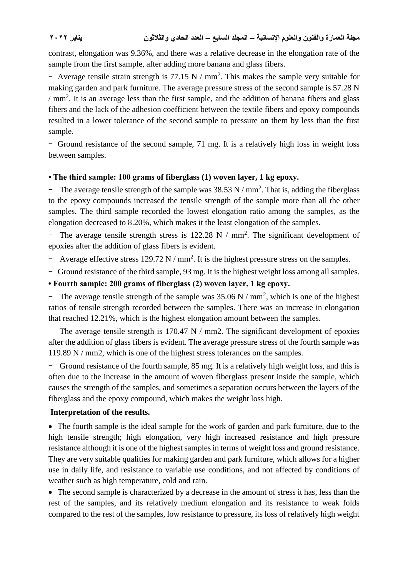contrast, elongation was 9.36%, and there was a relative decrease in the elongation rate of the sample from the first sample, after adding more banana and glass fibers.

- Average tensile strain strength is  $77.15 \text{ N} / \text{mm}^2$ . This makes the sample very suitable for making garden and park furniture. The average pressure stress of the second sample is 57.28 N  $/mm<sup>2</sup>$ . It is an average less than the first sample, and the addition of banana fibers and glass fibers and the lack of the adhesion coefficient between the textile fibers and epoxy compounds resulted in a lower tolerance of the second sample to pressure on them by less than the first sample.

- Ground resistance of the second sample, 71 mg. It is a relatively high loss in weight loss between samples.

# **• The third sample: 100 grams of fiberglass (1) woven layer, 1 kg epoxy.**

- The average tensile strength of the sample was  $38.53 \text{ N/mm}^2$ . That is, adding the fiberglass to the epoxy compounds increased the tensile strength of the sample more than all the other samples. The third sample recorded the lowest elongation ratio among the samples, as the elongation decreased to 8.20%, which makes it the least elongation of the samples.

- The average tensile strength stress is  $122.28 \text{ N}$  / mm<sup>2</sup>. The significant development of epoxies after the addition of glass fibers is evident.

- Average effective stress  $129.72 \text{ N} / \text{mm}^2$ . It is the highest pressure stress on the samples.

- Ground resistance of the third sample, 93 mg. It is the highest weight loss among all samples.

# **• Fourth sample: 200 grams of fiberglass (2) woven layer, 1 kg epoxy.**

- The average tensile strength of the sample was  $35.06 \text{ N} / \text{mm}^2$ , which is one of the highest ratios of tensile strength recorded between the samples. There was an increase in elongation that reached 12.21%, which is the highest elongation amount between the samples.

- The average tensile strength is  $170.47$  N / mm2. The significant development of epoxies after the addition of glass fibers is evident. The average pressure stress of the fourth sample was 119.89 N / mm2, which is one of the highest stress tolerances on the samples.

- Ground resistance of the fourth sample, 85 mg. It is a relatively high weight loss, and this is often due to the increase in the amount of woven fiberglass present inside the sample, which causes the strength of the samples, and sometimes a separation occurs between the layers of the fiberglass and the epoxy compound, which makes the weight loss high.

# **Interpretation of the results.**

 The fourth sample is the ideal sample for the work of garden and park furniture, due to the high tensile strength; high elongation, very high increased resistance and high pressure resistance although it is one of the highest samples in terms of weight loss and ground resistance. They are very suitable qualities for making garden and park furniture, which allows for a higher use in daily life, and resistance to variable use conditions, and not affected by conditions of weather such as high temperature, cold and rain.

• The second sample is characterized by a decrease in the amount of stress it has, less than the rest of the samples, and its relatively medium elongation and its resistance to weak folds compared to the rest of the samples, low resistance to pressure, its loss of relatively high weight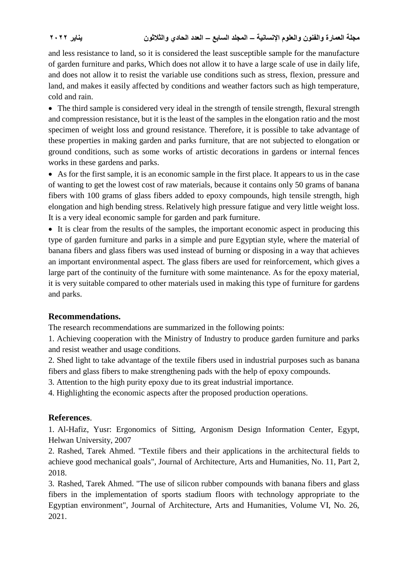and less resistance to land, so it is considered the least susceptible sample for the manufacture of garden furniture and parks, Which does not allow it to have a large scale of use in daily life, and does not allow it to resist the variable use conditions such as stress, flexion, pressure and land, and makes it easily affected by conditions and weather factors such as high temperature, cold and rain.

 The third sample is considered very ideal in the strength of tensile strength, flexural strength and compression resistance, but it is the least of the samples in the elongation ratio and the most specimen of weight loss and ground resistance. Therefore, it is possible to take advantage of these properties in making garden and parks furniture, that are not subjected to elongation or ground conditions, such as some works of artistic decorations in gardens or internal fences works in these gardens and parks.

 As for the first sample, it is an economic sample in the first place. It appears to us in the case of wanting to get the lowest cost of raw materials, because it contains only 50 grams of banana fibers with 100 grams of glass fibers added to epoxy compounds, high tensile strength, high elongation and high bending stress. Relatively high pressure fatigue and very little weight loss. It is a very ideal economic sample for garden and park furniture.

 It is clear from the results of the samples, the important economic aspect in producing this type of garden furniture and parks in a simple and pure Egyptian style, where the material of banana fibers and glass fibers was used instead of burning or disposing in a way that achieves an important environmental aspect. The glass fibers are used for reinforcement, which gives a large part of the continuity of the furniture with some maintenance. As for the epoxy material, it is very suitable compared to other materials used in making this type of furniture for gardens and parks.

# **Recommendations.**

The research recommendations are summarized in the following points:

1. Achieving cooperation with the Ministry of Industry to produce garden furniture and parks and resist weather and usage conditions.

2. Shed light to take advantage of the textile fibers used in industrial purposes such as banana fibers and glass fibers to make strengthening pads with the help of epoxy compounds.

3. Attention to the high purity epoxy due to its great industrial importance.

4. Highlighting the economic aspects after the proposed production operations.

# **References**.

1. Al-Hafiz, Yusr: Ergonomics of Sitting, Argonism Design Information Center, Egypt, Helwan University, 2007

2. Rashed, Tarek Ahmed. "Textile fibers and their applications in the architectural fields to achieve good mechanical goals", Journal of Architecture, Arts and Humanities, No. 11, Part 2, 2018.

3. Rashed, Tarek Ahmed. "The use of silicon rubber compounds with banana fibers and glass fibers in the implementation of sports stadium floors with technology appropriate to the Egyptian environment", Journal of Architecture, Arts and Humanities, Volume VI, No. 26, 2021.